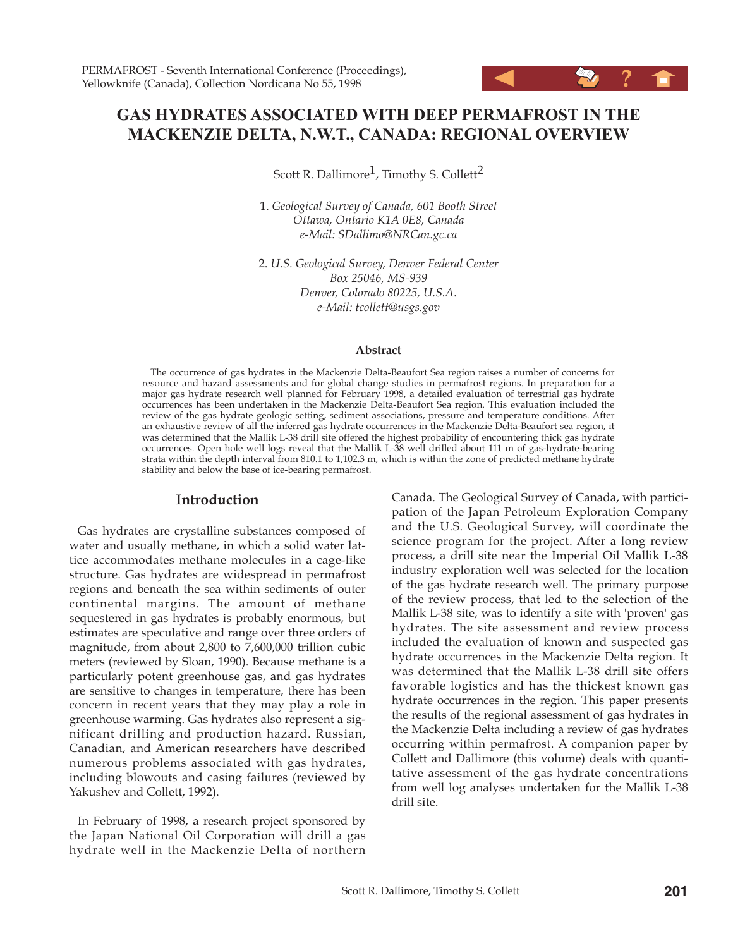# **GAS HYDRATES ASSOCIATED WITH DEEP PERMAFROST IN THE MACKENZIE DELTA, N.W.T., CANADA: REGIONAL OVERVIEW**

Scott R. Dallimore<sup>1</sup>, Timothy S. Collett<sup>2</sup>

1. *Geological Survey of Canada, 601 Booth Street Ottawa, Ontario K1A 0E8, Canada e-Mail: SDallimo@NRCan.gc.ca*

2. *U.S. Geological Survey, Denver Federal Center Box 25046, MS-939 Denver, Colorado 80225, U.S.A. e-Mail: tcollett@usgs.gov*

#### **Abstract**

The occurrence of gas hydrates in the Mackenzie Delta-Beaufort Sea region raises a number of concerns for resource and hazard assessments and for global change studies in permafrost regions. In preparation for a major gas hydrate research well planned for February 1998, a detailed evaluation of terrestrial gas hydrate occurrences has been undertaken in the Mackenzie Delta-Beaufort Sea region. This evaluation included the review of the gas hydrate geologic setting, sediment associations, pressure and temperature conditions. After an exhaustive review of all the inferred gas hydrate occurrences in the Mackenzie Delta-Beaufort sea region, it was determined that the Mallik L-38 drill site offered the highest probability of encountering thick gas hydrate occurrences. Open hole well logs reveal that the Mallik L-38 well drilled about 111 m of gas-hydrate-bearing strata within the depth interval from 810.1 to 1,102.3 m, which is within the zone of predicted methane hydrate stability and below the base of ice-bearing permafrost.

## **Introduction**

Gas hydrates are crystalline substances composed of water and usually methane, in which a solid water lattice accommodates methane molecules in a cage-like structure. Gas hydrates are widespread in permafrost regions and beneath the sea within sediments of outer continental margins. The amount of methane sequestered in gas hydrates is probably enormous, but estimates are speculative and range over three orders of magnitude, from about 2,800 to 7,600,000 trillion cubic meters (reviewed by Sloan, 1990). Because methane is a particularly potent greenhouse gas, and gas hydrates are sensitive to changes in temperature, there has been concern in recent years that they may play a role in greenhouse warming. Gas hydrates also represent a significant drilling and production hazard. Russian, Canadian, and American researchers have described numerous problems associated with gas hydrates, including blowouts and casing failures (reviewed by Yakushev and Collett, 1992).

In February of 1998, a research project sponsored by the Japan National Oil Corporation will drill a gas hydrate well in the Mackenzie Delta of northern

Canada. The Geological Survey of Canada, with participation of the Japan Petroleum Exploration Company and the U.S. Geological Survey, will coordinate the science program for the project. After a long review process, a drill site near the Imperial Oil Mallik L-38 industry exploration well was selected for the location of the gas hydrate research well. The primary purpose of the review process, that led to the selection of the Mallik L-38 site, was to identify a site with 'proven' gas hydrates. The site assessment and review process included the evaluation of known and suspected gas hydrate occurrences in the Mackenzie Delta region. It was determined that the Mallik L-38 drill site offers favorable logistics and has the thickest known gas hydrate occurrences in the region. This paper presents the results of the regional assessment of gas hydrates in the Mackenzie Delta including a review of gas hydrates occurring within permafrost. A companion paper by Collett and Dallimore (this volume) deals with quantitative assessment of the gas hydrate concentrations from well log analyses undertaken for the Mallik L-38 drill site.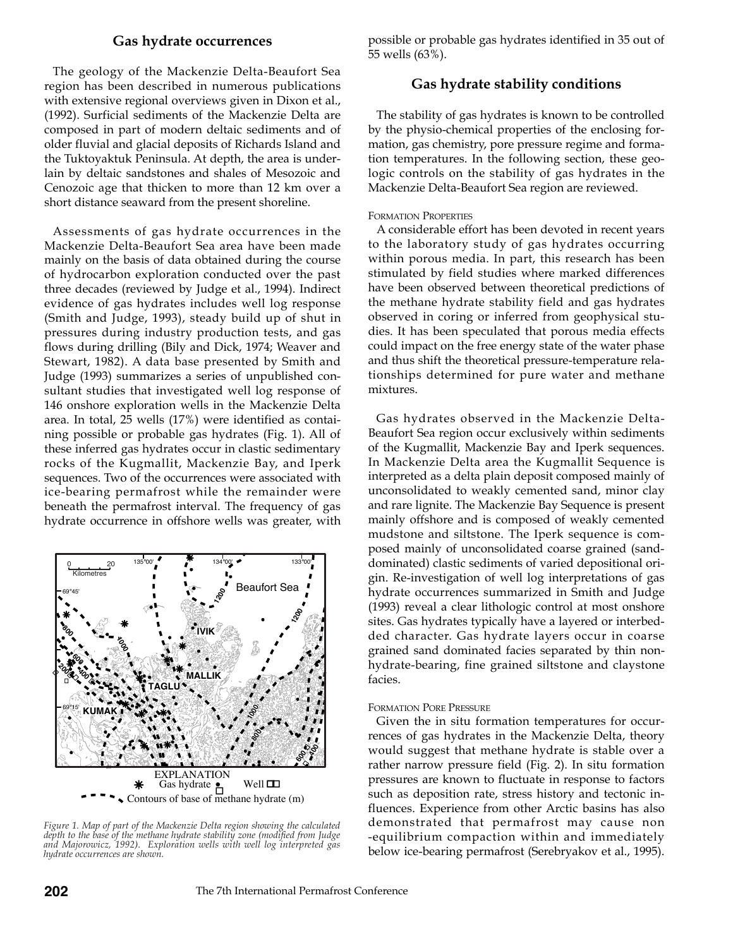## **Gas hydrate occurrences**

The geology of the Mackenzie Delta-Beaufort Sea region has been described in numerous publications with extensive regional overviews given in Dixon et al., (1992). Surficial sediments of the Mackenzie Delta are composed in part of modern deltaic sediments and of older fluvial and glacial deposits of Richards Island and the Tuktoyaktuk Peninsula. At depth, the area is underlain by deltaic sandstones and shales of Mesozoic and Cenozoic age that thicken to more than 12 km over a short distance seaward from the present shoreline.

Assessments of gas hydrate occurrences in the Mackenzie Delta-Beaufort Sea area have been made mainly on the basis of data obtained during the course of hydrocarbon exploration conducted over the past three decades (reviewed by Judge et al., 1994). Indirect evidence of gas hydrates includes well log response (Smith and Judge, 1993), steady build up of shut in pressures during industry production tests, and gas flows during drilling (Bily and Dick, 1974; Weaver and Stewart, 1982). A data base presented by Smith and Judge (1993) summarizes a series of unpublished consultant studies that investigated well log response of 146 onshore exploration wells in the Mackenzie Delta area. In total, 25 wells (17%) were identified as containing possible or probable gas hydrates (Fig. 1). All of these inferred gas hydrates occur in clastic sedimentary rocks of the Kugmallit, Mackenzie Bay, and Iperk sequences. Two of the occurrences were associated with ice-bearing permafrost while the remainder were beneath the permafrost interval. The frequency of gas hydrate occurrence in offshore wells was greater, with



*Figure 1. Map of part of the Mackenzie Delta region showing the calculated depth to the base of the methane hydrate stability zone (modified from Judge and Majorowicz, 1992). Exploration wells with well log interpreted gas hydrate occurrences are shown.*

possible or probable gas hydrates identified in 35 out of 55 wells (63%).

## **Gas hydrate stability conditions**

The stability of gas hydrates is known to be controlled by the physio-chemical properties of the enclosing formation, gas chemistry, pore pressure regime and formation temperatures. In the following section, these geologic controls on the stability of gas hydrates in the Mackenzie Delta-Beaufort Sea region are reviewed.

### FORMATION PROPERTIES

A considerable effort has been devoted in recent years to the laboratory study of gas hydrates occurring within porous media. In part, this research has been stimulated by field studies where marked differences have been observed between theoretical predictions of the methane hydrate stability field and gas hydrates observed in coring or inferred from geophysical studies. It has been speculated that porous media effects could impact on the free energy state of the water phase and thus shift the theoretical pressure-temperature relationships determined for pure water and methane mixtures.

Gas hydrates observed in the Mackenzie Delta-Beaufort Sea region occur exclusively within sediments of the Kugmallit, Mackenzie Bay and Iperk sequences. In Mackenzie Delta area the Kugmallit Sequence is interpreted as a delta plain deposit composed mainly of unconsolidated to weakly cemented sand, minor clay and rare lignite. The Mackenzie Bay Sequence is present mainly offshore and is composed of weakly cemented mudstone and siltstone. The Iperk sequence is composed mainly of unconsolidated coarse grained (sanddominated) clastic sediments of varied depositional origin. Re-investigation of well log interpretations of gas hydrate occurrences summarized in Smith and Judge (1993) reveal a clear lithologic control at most onshore sites. Gas hydrates typically have a layered or interbedded character. Gas hydrate layers occur in coarse grained sand dominated facies separated by thin nonhydrate-bearing, fine grained siltstone and claystone facies.

#### FORMATION PORE PRESSURE

Given the in situ formation temperatures for occurrences of gas hydrates in the Mackenzie Delta, theory would suggest that methane hydrate is stable over a rather narrow pressure field (Fig. 2). In situ formation pressures are known to fluctuate in response to factors such as deposition rate, stress history and tectonic influences. Experience from other Arctic basins has also demonstrated that permafrost may cause non -equilibrium compaction within and immediately below ice-bearing permafrost (Serebryakov et al., 1995).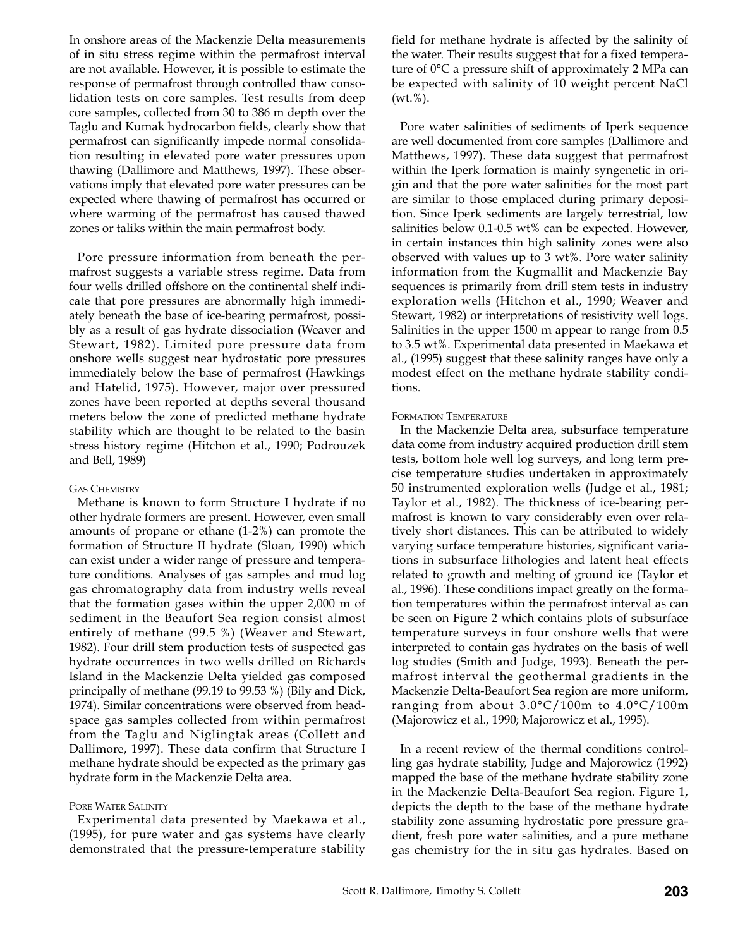In onshore areas of the Mackenzie Delta measurements of in situ stress regime within the permafrost interval are not available. However, it is possible to estimate the response of permafrost through controlled thaw consolidation tests on core samples. Test results from deep core samples, collected from 30 to 386 m depth over the Taglu and Kumak hydrocarbon fields, clearly show that permafrost can significantly impede normal consolidation resulting in elevated pore water pressures upon thawing (Dallimore and Matthews, 1997). These observations imply that elevated pore water pressures can be expected where thawing of permafrost has occurred or where warming of the permafrost has caused thawed zones or taliks within the main permafrost body.

Pore pressure information from beneath the permafrost suggests a variable stress regime. Data from four wells drilled offshore on the continental shelf indicate that pore pressures are abnormally high immediately beneath the base of ice-bearing permafrost, possibly as a result of gas hydrate dissociation (Weaver and Stewart, 1982). Limited pore pressure data from onshore wells suggest near hydrostatic pore pressures immediately below the base of permafrost (Hawkings and Hatelid, 1975). However, major over pressured zones have been reported at depths several thousand meters below the zone of predicted methane hydrate stability which are thought to be related to the basin stress history regime (Hitchon et al., 1990; Podrouzek and Bell, 1989)

#### GAS CHEMISTRY

Methane is known to form Structure I hydrate if no other hydrate formers are present. However, even small amounts of propane or ethane (1-2%) can promote the formation of Structure II hydrate (Sloan, 1990) which can exist under a wider range of pressure and temperature conditions. Analyses of gas samples and mud log gas chromatography data from industry wells reveal that the formation gases within the upper 2,000 m of sediment in the Beaufort Sea region consist almost entirely of methane (99.5 %) (Weaver and Stewart, 1982). Four drill stem production tests of suspected gas hydrate occurrences in two wells drilled on Richards Island in the Mackenzie Delta yielded gas composed principally of methane (99.19 to 99.53 %) (Bily and Dick, 1974). Similar concentrations were observed from headspace gas samples collected from within permafrost from the Taglu and Niglingtak areas (Collett and Dallimore, 1997). These data confirm that Structure I methane hydrate should be expected as the primary gas hydrate form in the Mackenzie Delta area.

## PORE WATER SALINITY

Experimental data presented by Maekawa et al., (1995), for pure water and gas systems have clearly demonstrated that the pressure-temperature stability field for methane hydrate is affected by the salinity of the water. Their results suggest that for a fixed temperature of 0°C a pressure shift of approximately 2 MPa can be expected with salinity of 10 weight percent NaCl  $(wt. %).$ 

Pore water salinities of sediments of Iperk sequence are well documented from core samples (Dallimore and Matthews, 1997). These data suggest that permafrost within the Iperk formation is mainly syngenetic in origin and that the pore water salinities for the most part are similar to those emplaced during primary deposition. Since Iperk sediments are largely terrestrial, low salinities below 0.1-0.5 wt% can be expected. However, in certain instances thin high salinity zones were also observed with values up to 3 wt%. Pore water salinity information from the Kugmallit and Mackenzie Bay sequences is primarily from drill stem tests in industry exploration wells (Hitchon et al., 1990; Weaver and Stewart, 1982) or interpretations of resistivity well logs. Salinities in the upper 1500 m appear to range from 0.5 to 3.5 wt%. Experimental data presented in Maekawa et al., (1995) suggest that these salinity ranges have only a modest effect on the methane hydrate stability conditions.

## FORMATION TEMPERATURE

In the Mackenzie Delta area, subsurface temperature data come from industry acquired production drill stem tests, bottom hole well log surveys, and long term precise temperature studies undertaken in approximately 50 instrumented exploration wells (Judge et al., 1981; Taylor et al., 1982). The thickness of ice-bearing permafrost is known to vary considerably even over relatively short distances. This can be attributed to widely varying surface temperature histories, significant variations in subsurface lithologies and latent heat effects related to growth and melting of ground ice (Taylor et al., 1996). These conditions impact greatly on the formation temperatures within the permafrost interval as can be seen on Figure 2 which contains plots of subsurface temperature surveys in four onshore wells that were interpreted to contain gas hydrates on the basis of well log studies (Smith and Judge, 1993). Beneath the permafrost interval the geothermal gradients in the Mackenzie Delta-Beaufort Sea region are more uniform, ranging from about 3.0°C/100m to 4.0°C/100m (Majorowicz et al., 1990; Majorowicz et al., 1995).

In a recent review of the thermal conditions controlling gas hydrate stability, Judge and Majorowicz (1992) mapped the base of the methane hydrate stability zone in the Mackenzie Delta-Beaufort Sea region. Figure 1, depicts the depth to the base of the methane hydrate stability zone assuming hydrostatic pore pressure gradient, fresh pore water salinities, and a pure methane gas chemistry for the in situ gas hydrates. Based on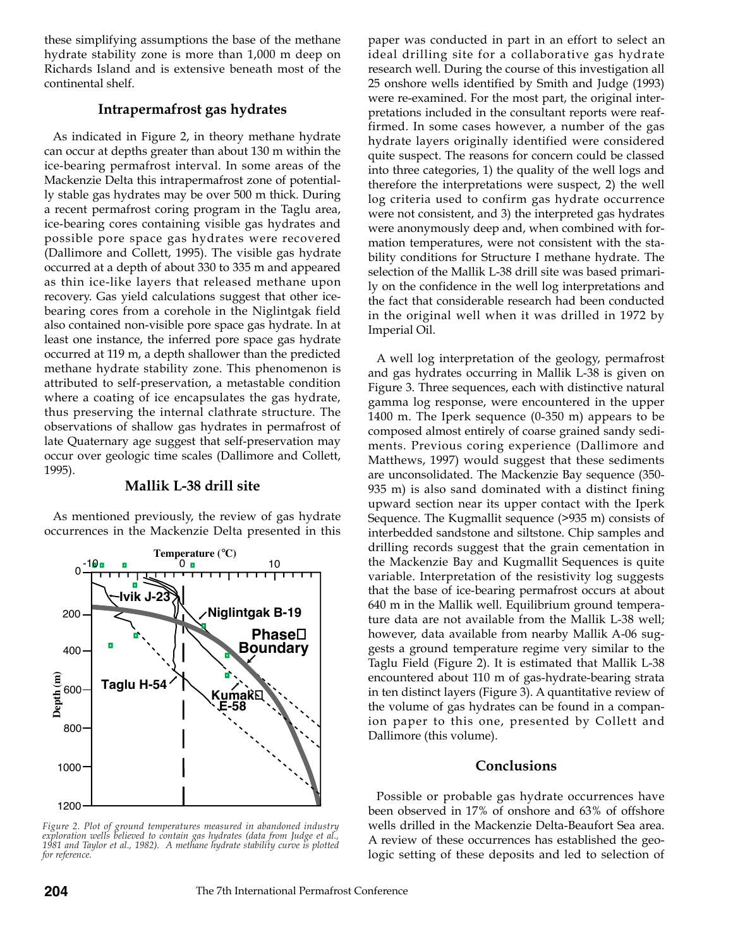these simplifying assumptions the base of the methane hydrate stability zone is more than 1,000 m deep on Richards Island and is extensive beneath most of the continental shelf.

## **Intrapermafrost gas hydrates**

As indicated in Figure 2, in theory methane hydrate can occur at depths greater than about 130 m within the ice-bearing permafrost interval. In some areas of the Mackenzie Delta this intrapermafrost zone of potentially stable gas hydrates may be over 500 m thick. During a recent permafrost coring program in the Taglu area, ice-bearing cores containing visible gas hydrates and possible pore space gas hydrates were recovered (Dallimore and Collett, 1995). The visible gas hydrate occurred at a depth of about 330 to 335 m and appeared as thin ice-like layers that released methane upon recovery. Gas yield calculations suggest that other icebearing cores from a corehole in the Niglintgak field also contained non-visible pore space gas hydrate. In at least one instance, the inferred pore space gas hydrate occurred at 119 m, a depth shallower than the predicted methane hydrate stability zone. This phenomenon is attributed to self-preservation, a metastable condition where a coating of ice encapsulates the gas hydrate, thus preserving the internal clathrate structure. The observations of shallow gas hydrates in permafrost of late Quaternary age suggest that self-preservation may occur over geologic time scales (Dallimore and Collett, 1995).

## **Mallik L-38 drill site**

As mentioned previously, the review of gas hydrate occurrences in the Mackenzie Delta presented in this



*Figure 2. Plot of ground temperatures measured in abandoned industry exploration wells believed to contain gas hydrates (data from Judge et al., 1981 and Taylor et al., 1982). A methane hydrate stability curve is plotted for reference.*

paper was conducted in part in an effort to select an ideal drilling site for a collaborative gas hydrate research well. During the course of this investigation all 25 onshore wells identified by Smith and Judge (1993) were re-examined. For the most part, the original interpretations included in the consultant reports were reaffirmed. In some cases however, a number of the gas hydrate layers originally identified were considered quite suspect. The reasons for concern could be classed into three categories, 1) the quality of the well logs and therefore the interpretations were suspect, 2) the well log criteria used to confirm gas hydrate occurrence were not consistent, and 3) the interpreted gas hydrates were anonymously deep and, when combined with formation temperatures, were not consistent with the stability conditions for Structure I methane hydrate. The selection of the Mallik L-38 drill site was based primarily on the confidence in the well log interpretations and the fact that considerable research had been conducted in the original well when it was drilled in 1972 by Imperial Oil.

A well log interpretation of the geology, permafrost and gas hydrates occurring in Mallik L-38 is given on Figure 3. Three sequences, each with distinctive natural gamma log response, were encountered in the upper 1400 m. The Iperk sequence (0-350 m) appears to be composed almost entirely of coarse grained sandy sediments. Previous coring experience (Dallimore and Matthews, 1997) would suggest that these sediments are unconsolidated. The Mackenzie Bay sequence (350- 935 m) is also sand dominated with a distinct fining upward section near its upper contact with the Iperk Sequence. The Kugmallit sequence (>935 m) consists of interbedded sandstone and siltstone. Chip samples and drilling records suggest that the grain cementation in the Mackenzie Bay and Kugmallit Sequences is quite variable. Interpretation of the resistivity log suggests that the base of ice-bearing permafrost occurs at about 640 m in the Mallik well. Equilibrium ground temperature data are not available from the Mallik L-38 well; however, data available from nearby Mallik A-06 suggests a ground temperature regime very similar to the Taglu Field (Figure 2). It is estimated that Mallik L-38 encountered about 110 m of gas-hydrate-bearing strata in ten distinct layers (Figure 3). A quantitative review of the volume of gas hydrates can be found in a companion paper to this one, presented by Collett and Dallimore (this volume).

## **Conclusions**

Possible or probable gas hydrate occurrences have been observed in 17% of onshore and 63% of offshore wells drilled in the Mackenzie Delta-Beaufort Sea area. A review of these occurrences has established the geologic setting of these deposits and led to selection of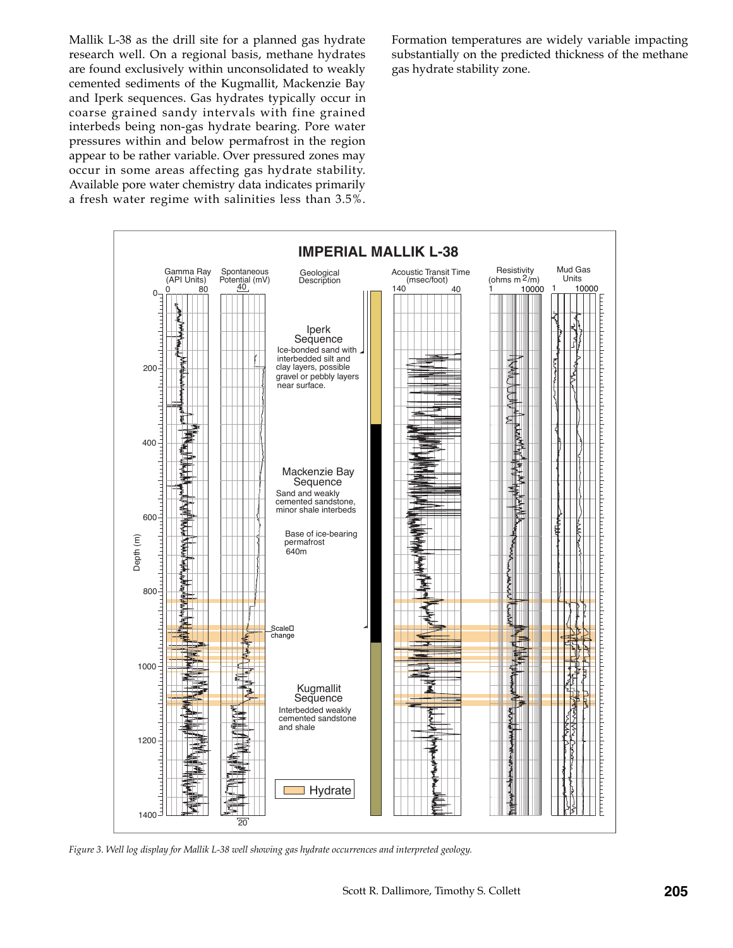Mallik L-38 as the drill site for a planned gas hydrate research well. On a regional basis, methane hydrates are found exclusively within unconsolidated to weakly cemented sediments of the Kugmallit, Mackenzie Bay and Iperk sequences. Gas hydrates typically occur in coarse grained sandy intervals with fine grained interbeds being non-gas hydrate bearing. Pore water pressures within and below permafrost in the region appear to be rather variable. Over pressured zones may occur in some areas affecting gas hydrate stability. Available pore water chemistry data indicates primarily a fresh water regime with salinities less than 3.5%.

Formation temperatures are widely variable impacting substantially on the predicted thickness of the methane gas hydrate stability zone.



*Figure 3. Well log display for Mallik L-38 well showing gas hydrate occurrences and interpreted geology.*